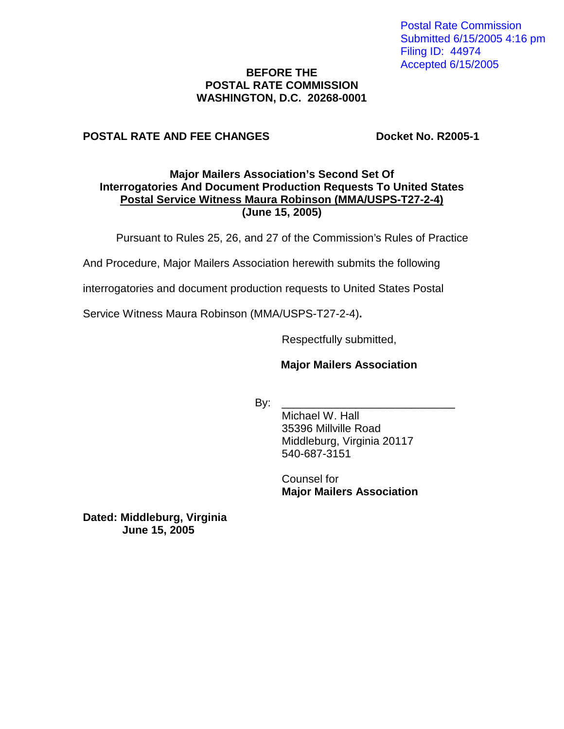Postal Rate Commission Submitted 6/15/2005 4:16 pm Filing ID: 44974 Accepted 6/15/2005

### **BEFORE THE POSTAL RATE COMMISSION WASHINGTON, D.C. 20268-0001**

## **POSTAL RATE AND FEE CHANGES DOCKET NO. R2005-1**

## **Major Mailers Association's Second Set Of Interrogatories And Document Production Requests To United States Postal Service Witness Maura Robinson (MMA/USPS-T27-2-4) (June 15, 2005)**

Pursuant to Rules 25, 26, and 27 of the Commission's Rules of Practice

And Procedure, Major Mailers Association herewith submits the following

interrogatories and document production requests to United States Postal

Service Witness Maura Robinson (MMA/USPS-T27-2-4)**.**

Respectfully submitted,

#### **Major Mailers Association**

By: \_\_\_\_\_\_\_\_\_\_\_\_\_\_\_\_\_\_\_\_\_\_\_\_\_\_\_\_

Michael W. Hall 35396 Millville Road Middleburg, Virginia 20117 540-687-3151

Counsel for **Major Mailers Association** 

**Dated: Middleburg, Virginia June 15, 2005**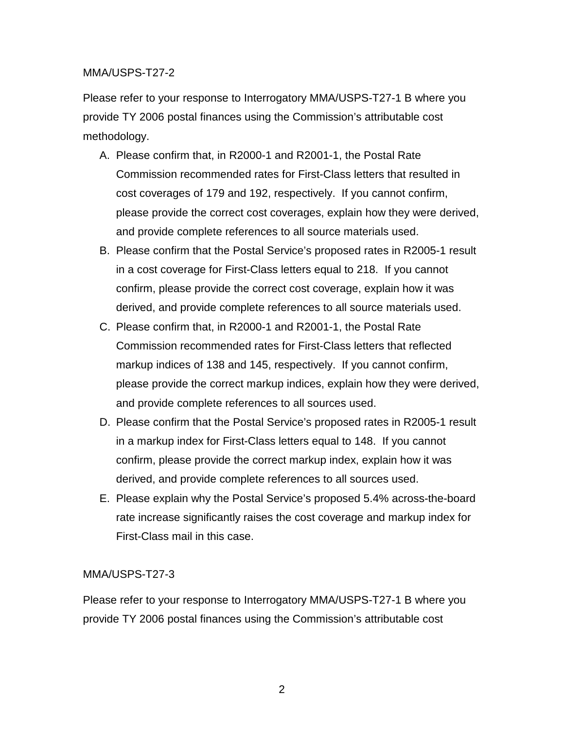## MMA/USPS-T27-2

Please refer to your response to Interrogatory MMA/USPS-T27-1 B where you provide TY 2006 postal finances using the Commission's attributable cost methodology.

- A. Please confirm that, in R2000-1 and R2001-1, the Postal Rate Commission recommended rates for First-Class letters that resulted in cost coverages of 179 and 192, respectively. If you cannot confirm, please provide the correct cost coverages, explain how they were derived, and provide complete references to all source materials used.
- B. Please confirm that the Postal Service's proposed rates in R2005-1 result in a cost coverage for First-Class letters equal to 218. If you cannot confirm, please provide the correct cost coverage, explain how it was derived, and provide complete references to all source materials used.
- C. Please confirm that, in R2000-1 and R2001-1, the Postal Rate Commission recommended rates for First-Class letters that reflected markup indices of 138 and 145, respectively. If you cannot confirm, please provide the correct markup indices, explain how they were derived, and provide complete references to all sources used.
- D. Please confirm that the Postal Service's proposed rates in R2005-1 result in a markup index for First-Class letters equal to 148. If you cannot confirm, please provide the correct markup index, explain how it was derived, and provide complete references to all sources used.
- E. Please explain why the Postal Service's proposed 5.4% across-the-board rate increase significantly raises the cost coverage and markup index for First-Class mail in this case.

# MMA/USPS-T27-3

Please refer to your response to Interrogatory MMA/USPS-T27-1 B where you provide TY 2006 postal finances using the Commission's attributable cost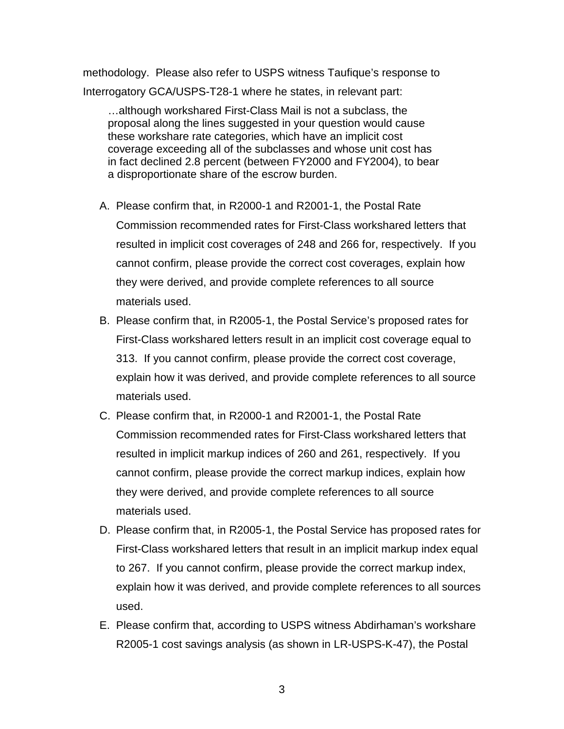methodology. Please also refer to USPS witness Taufique's response to Interrogatory GCA/USPS-T28-1 where he states, in relevant part:

…although workshared First-Class Mail is not a subclass, the proposal along the lines suggested in your question would cause these workshare rate categories, which have an implicit cost coverage exceeding all of the subclasses and whose unit cost has in fact declined 2.8 percent (between FY2000 and FY2004), to bear a disproportionate share of the escrow burden.

- A. Please confirm that, in R2000-1 and R2001-1, the Postal Rate Commission recommended rates for First-Class workshared letters that resulted in implicit cost coverages of 248 and 266 for, respectively. If you cannot confirm, please provide the correct cost coverages, explain how they were derived, and provide complete references to all source materials used.
- B. Please confirm that, in R2005-1, the Postal Service's proposed rates for First-Class workshared letters result in an implicit cost coverage equal to 313. If you cannot confirm, please provide the correct cost coverage, explain how it was derived, and provide complete references to all source materials used.
- C. Please confirm that, in R2000-1 and R2001-1, the Postal Rate Commission recommended rates for First-Class workshared letters that resulted in implicit markup indices of 260 and 261, respectively. If you cannot confirm, please provide the correct markup indices, explain how they were derived, and provide complete references to all source materials used.
- D. Please confirm that, in R2005-1, the Postal Service has proposed rates for First-Class workshared letters that result in an implicit markup index equal to 267. If you cannot confirm, please provide the correct markup index, explain how it was derived, and provide complete references to all sources used.
- E. Please confirm that, according to USPS witness Abdirhaman's workshare R2005-1 cost savings analysis (as shown in LR-USPS-K-47), the Postal